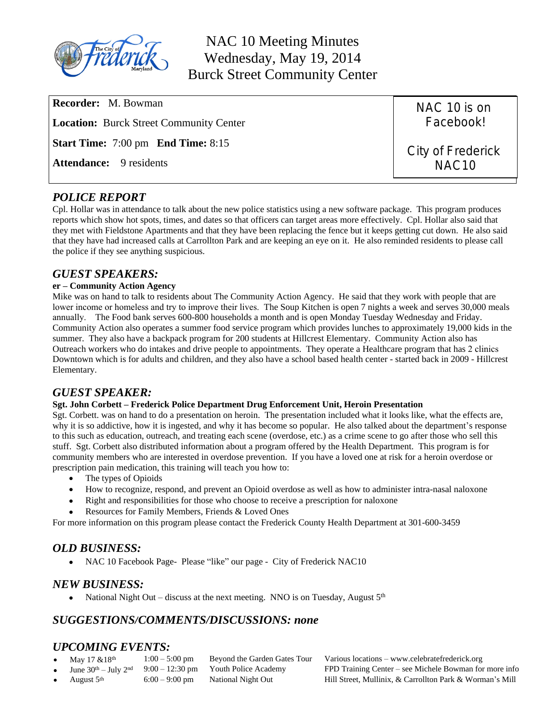

NAC 10 Meeting Minutes Wednesday, May 19, 2014 Burck Street Community Center

| <b>Recorder:</b> M. Bowman                       | NAC 10 is on      |
|--------------------------------------------------|-------------------|
| <b>Location:</b> Burck Street Community Center   | Facebook!         |
| <b>Start Time:</b> 7:00 pm <b>End Time:</b> 8:15 | City of Frederick |
| <b>Attendance:</b> 9 residents                   | NAC <sub>10</sub> |

## *POLICE REPORT*

Cpl. Hollar was in attendance to talk about the new police statistics using a new software package. This program produces reports which show hot spots, times, and dates so that officers can target areas more effectively. Cpl. Hollar also said that they met with Fieldstone Apartments and that they have been replacing the fence but it keeps getting cut down. He also said that they have had increased calls at Carrollton Park and are keeping an eye on it. He also reminded residents to please call the police if they see anything suspicious.

#### *GUEST SPEAKERS:*

#### **er – Community Action Agency**

Mike was on hand to talk to residents about The Community Action Agency. He said that they work with people that are lower income or homeless and try to improve their lives. The Soup Kitchen is open 7 nights a week and serves 30,000 meals annually. The Food bank serves 600-800 households a month and is open Monday Tuesday Wednesday and Friday. Community Action also operates a summer food service program which provides lunches to approximately 19,000 kids in the summer. They also have a backpack program for 200 students at Hillcrest Elementary. Community Action also has Outreach workers who do intakes and drive people to appointments. They operate a Healthcare program that has 2 clinics Downtown which is for adults and children, and they also have a school based health center - started back in 2009 - Hillcrest Elementary.

#### *GUEST SPEAKER:*

#### **Sgt. John Corbett – Frederick Police Department Drug Enforcement Unit, Heroin Presentation**

Sgt. Corbett. was on hand to do a presentation on heroin. The presentation included what it looks like, what the effects are, why it is so addictive, how it is ingested, and why it has become so popular. He also talked about the department's response to this such as education, outreach, and treating each scene (overdose, etc.) as a crime scene to go after those who sell this stuff. Sgt. Corbett also distributed information about a program offered by the Health Department. This program is for community members who are interested in overdose prevention. If you have a loved one at risk for a heroin overdose or prescription pain medication, this training will teach you how to:

- The types of Opioids
- How to recognize, respond, and prevent an Opioid overdose as well as how to administer intra-nasal naloxone
- Right and responsibilities for those who choose to receive a prescription for naloxone
- Resources for Family Members, Friends & Loved Ones

For more information on this program please contact the Frederick County Health Department at 301-600-3459

# *OLD BUSINESS:*

• NAC 10 Facebook Page- Please "like" our page - City of Frederick NAC10

#### *NEW BUSINESS:*

National Night Out – discuss at the next meeting. NNO is on Tuesday, August  $5<sup>th</sup>$ 

# *SUGGESTIONS/COMMENTS/DISCUSSIONS: none*

# *UPCOMING EVENTS:*<br>• May 17 & 18<sup>th</sup> 1:00 – 5:00 pm

- -
- 

May  $17 \& 18^{th}$  1:00 – 5:00 pm Beyond the Garden Gates Tour Various locations – www.celebratefrederick.org<br>June  $30^{th}$  – July  $2^{nd}$  9:00 – 12:30 pm Youth Police Academy FPD Training Center – see Michele Bowman for Youth Police Academy FPD Training Center – see Michele Bowman for more info August 5th 6:00 – 9:00 pm National Night Out Hill Street, Mullinix, & Carrollton Park & Worman's Mill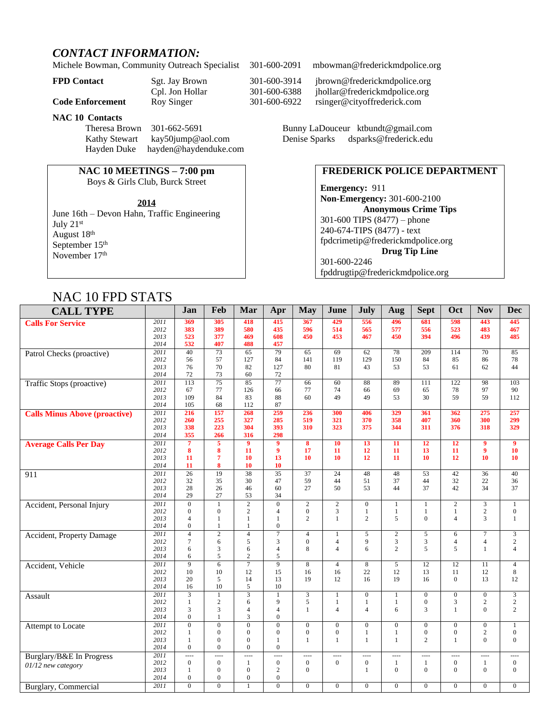## *CONTACT INFORMATION:*

Michele Bowman, Community Outreach Specialist 301-600-2091 mbowman@frederickmdpolice.org

**NAC 10 Contacts**

Theresa Brown 301-662-5691 Bunny LaDouceur [ktbundt@gmail.com](mailto:ktbun@aol.com) Kathy Stewart [kay50jump@aol.com](mailto:kay50jump@aol.com) Denise Sparks dsparks@frederick.edu Hayden Duke [hayden@haydenduke.com](mailto:hayden@haydenduke.com)

## **NAC 10 MEETINGS – 7:00 pm**

Boys & Girls Club, Burck Street

June 16th – Devon Hahn, Traffic Engineering July 21st August 18th September 15<sup>th</sup> November 17<sup>th</sup>

**FPD Contact** Sgt. Jay Brown 301-600-3914 jbrown@frederickmdpolice.org Cpl. Jon Hollar 301-600-6388 jhollar@frederickmdpolice.org<br>Roy Singer 301-600-6922 rsinger@cityoffrederick.com **Code Enforcement** Roy Singer 301-600-6922 [rsinger@cityoffrederick.com](mailto:rsinger@cityoffrederick.com)

#### **FREDERICK POLICE DEPARTMENT**

**Emergency:** 911 **Non-Emergency:** 301-600-2100 **Anonymous Crime Tips** 301-600 TIPS (8477) – phone 240-674-TIPS (8477) - text [fpdcrimetip@frederickmdpolice.org](mailto:fpdcrimetip@frederickmdpolice.org) **Drug Tip Line** 301-600-2246 fpddrugtip@frederickmdpolice.org

# NAC 10 FPD STATS

| 1111C 1011D 01111D                   |                   |                                |                                |                                |                                |                                    |                                |                     |                   |                                |                                |                            |                                  |
|--------------------------------------|-------------------|--------------------------------|--------------------------------|--------------------------------|--------------------------------|------------------------------------|--------------------------------|---------------------|-------------------|--------------------------------|--------------------------------|----------------------------|----------------------------------|
| <b>CALL TYPE</b>                     |                   | Jan                            | Feb                            | Mar                            | Apr                            | <b>May</b>                         | June                           | July                | Aug               | <b>Sept</b>                    | Oct                            | <b>Nov</b>                 | <b>Dec</b>                       |
| <b>Calls For Service</b>             | 2011              | 369                            | 305                            | 418                            | 415                            | 367                                | 429                            | 556                 | 496               | 681                            | 598                            | 443                        | 445                              |
|                                      | 2012              | 383                            | 389                            | 580                            | 435                            | 596                                | 514                            | 565                 | 577               | 556                            | 523                            | 483                        | 467                              |
|                                      | 2013<br>2014      | 523<br>532                     | 377<br>407                     | 469<br>488                     | 608<br>457                     | 450                                | 453                            | 467                 | 450               | 394                            | 496                            | 439                        | 485                              |
|                                      | 2011              | 40                             | 73                             | 65                             | 79                             | 65                                 | 69                             | 62                  | 78                | 209                            | 114                            | 70                         | 85                               |
| Patrol Checks (proactive)            | 2012              | 56                             | 57                             | 127                            | 84                             | 141                                | 119                            | 129                 | 150               | 84                             | 85                             | 86                         | 78                               |
|                                      | 2013              | 76                             | 70                             | 82                             | 127                            | 80                                 | 81                             | 43                  | 53                | 53                             | 61                             | 62                         | 44                               |
|                                      | 2014              | 72                             | 73                             | 60                             | 72                             |                                    |                                |                     |                   |                                |                                |                            |                                  |
| Traffic Stops (proactive)            | 2011              | 113                            | $\overline{75}$                | 85                             | $\overline{77}$                | 66                                 | 60                             | 88                  | 89                | 111                            | 122                            | 98                         | 103                              |
|                                      | 2012              | 67                             | 77                             | 126                            | 66                             | 77                                 | 74                             | 66                  | 69                | 65                             | 78                             | 97                         | 90                               |
|                                      | 2013              | 109                            | 84                             | 83                             | 88                             | 60                                 | 49                             | 49                  | 53                | 30                             | 59                             | 59                         | 112                              |
|                                      | 2014              | 105                            | 68                             | 112                            | 87                             |                                    |                                |                     |                   |                                |                                |                            |                                  |
| <b>Calls Minus Above (proactive)</b> | 2011              | 216                            | 157                            | 268                            | 259                            | 236                                | 300                            | 406                 | 329               | 361                            | 362                            | 275                        | 257                              |
|                                      | 2012              | 260                            | 255                            | 327                            | 285                            | 519                                | 321                            | 370                 | 358               | 407                            | 360                            | 300                        | 299                              |
|                                      | 2013<br>2014      | 338<br>355                     | 223<br>266                     | 304<br>316                     | 393<br>298                     | 310                                | 323                            | 375                 | 344               | 311                            | 376                            | 318                        | 329                              |
|                                      | 2011              | $\overline{7}$                 | $\overline{5}$                 | $\overline{9}$                 | $\boldsymbol{9}$               | $\overline{\mathbf{8}}$            | 10                             | $\overline{13}$     | $\overline{11}$   | $\overline{12}$                | $\overline{12}$                | $\overline{9}$             | $\overline{9}$                   |
| <b>Average Calls Per Day</b>         | 2012              | 8                              | 8                              | 11                             | $\boldsymbol{9}$               | 17                                 | 11                             | 12                  | 11                | 13                             | 11                             | 9                          | 10                               |
|                                      | 2013              | 11                             | $\overline{7}$                 | 10                             | 13                             | 10                                 | 10                             | 12                  | 11                | 10                             | 12                             | 10                         | 10                               |
|                                      | 2014              | 11                             | 8                              | 10                             | 10                             |                                    |                                |                     |                   |                                |                                |                            |                                  |
| 911                                  | 2011              | $\overline{26}$                | 19                             | 38                             | $\overline{35}$                | $\overline{37}$                    | $\overline{24}$                | 48                  | 48                | $\overline{53}$                | 42                             | $\overline{36}$            | 40                               |
|                                      | 2012              | 32                             | 35                             | 30                             | 47                             | 59                                 | 44                             | 51                  | 37                | 44                             | 32                             | 22                         | 36                               |
|                                      | 2013              | 28                             | 26                             | 46                             | 60                             | 27                                 | 50                             | 53                  | 44                | 37                             | 42                             | 34                         | 37                               |
|                                      | 2014              | 29                             | 27                             | 53                             | 34                             |                                    |                                |                     |                   |                                |                                |                            |                                  |
| Accident, Personal Injury            | $\overline{2011}$ | $\overline{0}$                 | $\overline{1}$                 | $\overline{2}$                 | $\overline{0}$                 | $\overline{2}$                     | $\overline{2}$                 | $\overline{0}$      | $\mathbf{1}$      | $\mathbf{1}$                   | $\overline{2}$                 |                            | $\mathbf{1}$                     |
|                                      | 2012<br>2013      | $\mathbf{0}$<br>$\overline{4}$ | $\overline{0}$<br>$\mathbf{1}$ | $\overline{c}$<br>$\mathbf{1}$ | $\overline{4}$<br>$\mathbf{1}$ | $\boldsymbol{0}$<br>$\overline{c}$ | 3<br>$\mathbf{1}$              | 1<br>$\overline{2}$ | $\mathbf{1}$<br>5 | $\mathbf{1}$<br>$\overline{0}$ | $\mathbf{1}$<br>$\overline{4}$ | $\sqrt{2}$<br>3            | $\boldsymbol{0}$<br>$\mathbf{1}$ |
|                                      | 2014              | $\mathbf{0}$                   | $\mathbf{1}$                   | 1                              | $\mathbf{0}$                   |                                    |                                |                     |                   |                                |                                |                            |                                  |
|                                      | 2011              | $\overline{4}$                 | $\overline{2}$                 | $\overline{4}$                 | $\overline{7}$                 | $\overline{4}$                     | $\mathbf{1}$                   | 5                   | $\sqrt{2}$        | 5                              | 6                              | $\tau$                     | 3                                |
| <b>Accident</b> , Property Damage    | 2012              | $\tau$                         | 6                              | 5                              | 3                              | $\boldsymbol{0}$                   | $\overline{4}$                 | 9                   | $\mathfrak{Z}$    | 3                              | $\overline{4}$                 | $\overline{4}$             | $\mathbf{2}$                     |
|                                      | 2013              | 6                              | 3                              | 6                              | $\overline{4}$                 | 8                                  | $\overline{4}$                 | 6                   | 2                 | 5                              | 5                              | 1                          | $\overline{4}$                   |
|                                      | 2014              | 6                              | 5                              | $\overline{c}$                 | 5                              |                                    |                                |                     |                   |                                |                                |                            |                                  |
| Accident, Vehicle                    | 2011              | 9                              | 6                              | $\overline{7}$                 | 9                              | 8                                  | $\overline{4}$                 | 8                   | 5                 | 12                             | 12                             | 11                         | $\overline{4}$                   |
|                                      | 2012              | 10                             | 10                             | 12                             | 15                             | 16                                 | 16                             | 22                  | 12                | 13                             | 11                             | 12                         | 8                                |
|                                      | 2013              | 20                             | 5                              | 14                             | 13                             | 19                                 | 12                             | 16                  | 19                | 16                             | $\Omega$                       | 13                         | 12                               |
|                                      | 2014              | 16                             | 10                             | 5                              | 10                             |                                    |                                |                     |                   |                                |                                |                            |                                  |
| Assault                              | 2011              | $\overline{3}$                 | $\mathbf{1}$                   | $\overline{3}$                 | 1                              | $\overline{3}$                     | $\mathbf{1}$                   | $\overline{0}$      | $\mathbf{1}$      | $\overline{0}$                 | $\boldsymbol{0}$               | $\mathbf{0}$               | $\overline{3}$                   |
|                                      | 2012<br>2013      | $\mathbf{1}$<br>3              | $\overline{c}$<br>3            | 6<br>$\overline{4}$            | 9<br>$\overline{4}$            | 5<br>$\mathbf{1}$                  | $\mathbf{1}$<br>$\overline{4}$ | 1<br>$\overline{4}$ | -1<br>6           | $\boldsymbol{0}$<br>3          | 3<br>$\mathbf{1}$              | $\sqrt{2}$<br>$\mathbf{0}$ | $\sqrt{2}$<br>$\overline{c}$     |
|                                      | 2014              | $\mathbf{0}$                   | $\mathbf{1}$                   | 3                              | $\mathbf{0}$                   |                                    |                                |                     |                   |                                |                                |                            |                                  |
| Attempt to Locate                    | 2011              | $\mathbf{0}$                   | $\overline{0}$                 | $\boldsymbol{0}$               | $\mathbf{0}$                   | $\boldsymbol{0}$                   | $\boldsymbol{0}$               | $\overline{0}$      | $\mathbf{0}$      | $\boldsymbol{0}$               | $\boldsymbol{0}$               | $\boldsymbol{0}$           | $\mathbf{1}$                     |
|                                      | 2012              | 1                              | $\mathbf{0}$                   | $\mathbf{0}$                   | $\mathbf{0}$                   | $\boldsymbol{0}$                   | $\mathbf{0}$                   | 1                   | $\mathbf{1}$      | $\boldsymbol{0}$               | $\boldsymbol{0}$               | $\sqrt{2}$                 | $\boldsymbol{0}$                 |
|                                      | 2013              | $\mathbf{1}$                   | $\mathbf{0}$                   | $\overline{0}$                 | $\mathbf{1}$                   | $\mathbf{1}$                       | $\mathbf{1}$                   | $\mathbf{1}$        | $\mathbf{1}$      | $\overline{c}$                 | $\mathbf{1}$                   | $\mathbf{0}$               | $\overline{0}$                   |
|                                      | 2014              | $\mathbf{0}$                   | $\mathbf{0}$                   | $\mathbf{0}$                   | $\overline{0}$                 |                                    |                                |                     |                   |                                |                                |                            |                                  |
| Burglary/B&E In Progress             | 2011              | $\overline{a}$                 | $\overline{a}$                 | $\overline{a}$                 | ----                           | ----                               | ----                           | ----                | ----              | $\overline{a}$                 | ----                           | ----                       | ----                             |
| $01/12$ new category                 | 2012              | $\mathbf{0}$                   | $\overline{0}$                 | $\mathbf{1}$                   | $\boldsymbol{0}$               | $\mathbf{0}$                       | $\mathbf{0}$                   | $\mathbf{0}$        | $\mathbf{1}$      | $\mathbf{1}$                   | $\boldsymbol{0}$               | 1                          | $\mathbf{0}$                     |
|                                      | 2013              | 1                              | $\mathbf{0}$                   | $\mathbf{0}$                   | $\overline{c}$                 | $\mathbf{0}$                       |                                | 1                   | $\overline{0}$    | $\overline{0}$                 | $\overline{0}$                 | $\mathbf{0}$               | $\overline{0}$                   |
|                                      | 2014              | $\mathbf{0}$                   | $\mathbf{0}$                   | $\boldsymbol{0}$               | $\boldsymbol{0}$               |                                    |                                |                     |                   |                                |                                |                            |                                  |
| Burglary, Commercial                 | 2011              | $\overline{0}$                 | $\Omega$                       |                                | $\overline{0}$                 | $\boldsymbol{0}$                   | $\boldsymbol{0}$               | $\overline{0}$      | $\mathbf{0}$      | $\mathbf{0}$                   | $\mathbf{0}$                   | $\boldsymbol{0}$           | $\boldsymbol{0}$                 |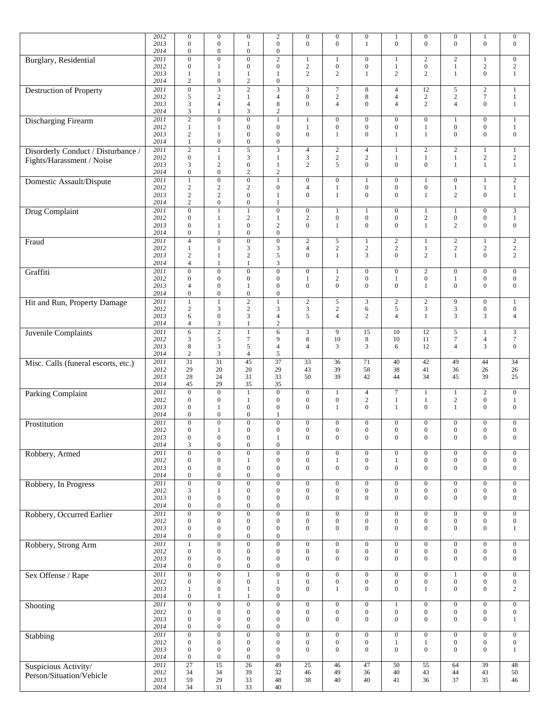|                                     | 2012<br>2013 | $\boldsymbol{0}$<br>$\overline{0}$   | $\mathbf{0}$<br>$\mathbf{0}$       | $\boldsymbol{0}$<br>1                | $\overline{c}$<br>$\Omega$           | $\boldsymbol{0}$<br>$\mathbf{0}$     | $\boldsymbol{0}$<br>$\overline{0}$   | $\boldsymbol{0}$<br>1                | $\mathbf{1}$<br>$\mathbf{0}$         | $\boldsymbol{0}$<br>$\boldsymbol{0}$ | $\boldsymbol{0}$<br>$\theta$         | $\mathbf{1}$<br>$\boldsymbol{0}$     | $\mathbf{0}$<br>$\boldsymbol{0}$   |
|-------------------------------------|--------------|--------------------------------------|------------------------------------|--------------------------------------|--------------------------------------|--------------------------------------|--------------------------------------|--------------------------------------|--------------------------------------|--------------------------------------|--------------------------------------|--------------------------------------|------------------------------------|
|                                     | 2014         | $\boldsymbol{0}$                     | $\mathbf{0}$                       | $\boldsymbol{0}$                     | $\boldsymbol{0}$                     |                                      |                                      |                                      |                                      |                                      |                                      |                                      |                                    |
| Burglary, Residential               | 2011<br>2012 | $\boldsymbol{0}$<br>$\mathbf{0}$     | $\overline{0}$<br>-1               | $\overline{0}$<br>$\boldsymbol{0}$   | $\overline{2}$<br>$\overline{0}$     | $\mathbf{1}$<br>$\sqrt{2}$           | $\mathbf{1}$<br>$\boldsymbol{0}$     | $\boldsymbol{0}$<br>$\mathbf{0}$     | 1<br>$\mathbf{1}$                    | $\sqrt{2}$<br>$\boldsymbol{0}$       | $\overline{c}$<br>1                  | $\mathbf{1}$<br>$\sqrt{2}$           | $\overline{0}$<br>$\sqrt{2}$       |
|                                     | 2013<br>2014 | $\mathbf{1}$<br>$\overline{c}$       | 1<br>$\mathbf{0}$                  | $\mathbf{1}$<br>$\mathbf{2}$         | $\mathbf{1}$<br>$\boldsymbol{0}$     | $\sqrt{2}$                           | $\mathbf{2}$                         | $\mathbf{1}$                         | 2                                    | $\mathbf{2}$                         | $\mathbf{1}$                         | $\overline{0}$                       | $\mathbf{1}$                       |
| <b>Destruction of Property</b>      | 2011         | $\mathbf{0}$                         | $\overline{\mathbf{3}}$            | $\overline{2}$                       | 3                                    | $\mathfrak{Z}$                       | $\boldsymbol{7}$                     | 8                                    | $\overline{4}$                       | 12                                   | 5                                    | $\mathbf{2}$                         | 1                                  |
|                                     | 2012<br>2013 | 5<br>3                               | 2<br>$\overline{4}$                | $\mathbf{1}$<br>$\overline{4}$       | $\overline{4}$<br>8                  | $\boldsymbol{0}$<br>$\mathbf{0}$     | $\sqrt{2}$<br>$\overline{4}$         | 8<br>$\Omega$                        | $\overline{4}$<br>$\overline{4}$     | 2<br>$\overline{2}$                  | $\overline{c}$<br>$\overline{4}$     | $\tau$<br>$\boldsymbol{0}$           | $1\,$<br>$\mathbf{1}$              |
| Discharging Firearm                 | 2014<br>2011 | 3<br>$\overline{2}$                  | $\mathbf{1}$<br>$\mathbf{0}$       | 3<br>$\overline{0}$                  | $\mathfrak{2}$<br>1                  | $\mathbf{1}$                         | $\mathbf{0}$                         | $\mathbf{0}$                         | $\boldsymbol{0}$                     | $\mathbf{0}$                         |                                      | $\boldsymbol{0}$                     | $\mathbf{1}$                       |
|                                     | 2012<br>2013 | 1<br>$\mathbf{2}$                    | -1<br>-1                           | $\boldsymbol{0}$<br>$\boldsymbol{0}$ | $\boldsymbol{0}$<br>$\mathbf{0}$     | $\mathbf{1}$<br>$\boldsymbol{0}$     | $\boldsymbol{0}$<br>$\mathbf{1}$     | $\boldsymbol{0}$<br>$\Omega$         | $\boldsymbol{0}$<br>1                | $\mathbf{1}$<br>$\mathbf{1}$         | $\mathbf{0}$<br>$\mathbf{0}$         | $\boldsymbol{0}$<br>$\mathbf{0}$     | $\mathbf{1}$<br>$\boldsymbol{0}$   |
|                                     | 2014         | $\mathbf{1}$                         | $\boldsymbol{0}$                   | $\boldsymbol{0}$                     | $\overline{0}$                       |                                      |                                      |                                      |                                      |                                      |                                      |                                      |                                    |
| Disorderly Conduct / Disturbance /  | 2011<br>2012 | $\overline{c}$<br>$\mathbf{0}$       | $\mathbf{1}$<br>$\mathbf{1}$       | 5<br>3                               | 3<br>$\mathbf{1}$                    | $\overline{4}$<br>$\mathfrak{Z}$     | $\sqrt{2}$<br>$\sqrt{2}$             | $\overline{4}$<br>$\overline{c}$     | $\mathbf{1}$<br>$\mathbf{1}$         | 2<br>$\mathbf{1}$                    | $\overline{c}$<br>1                  | $\mathbf{1}$<br>$\mathbf{2}$         | $\mathbf{1}$<br>$\overline{2}$     |
| Fights/Harassment / Noise           | 2013<br>2014 | 3<br>$\boldsymbol{0}$                | $\overline{c}$<br>$\mathbf{0}$     | $\boldsymbol{0}$<br>$\mathbf{2}$     | 1<br>$\mathfrak{2}$                  | $\sqrt{2}$                           | 5                                    | $\Omega$                             | $\mathbf{0}$                         | $\boldsymbol{0}$                     | 1                                    | $\mathbf{1}$                         | $\mathbf{1}$                       |
| Domestic Assault/Dispute            | 2011         | $\mathbf{1}$                         | $\mathbf{0}$                       | $\overline{0}$                       | $\mathbf{1}$                         | $\boldsymbol{0}$                     | $\boldsymbol{0}$                     |                                      | $\boldsymbol{0}$                     | $\mathbf{1}$                         | $\boldsymbol{0}$                     | $\mathbf{1}$                         | $\overline{2}$                     |
|                                     | 2012<br>2013 | $\sqrt{2}$<br>$\overline{c}$         | $\sqrt{2}$<br>$\overline{c}$       | $\mathbf{2}$<br>$\boldsymbol{0}$     | $\boldsymbol{0}$<br>1                | $\overline{4}$<br>$\mathbf{0}$       | $\mathbf{1}$<br>$\mathbf{1}$         | $\boldsymbol{0}$<br>$\Omega$         | $\boldsymbol{0}$<br>$\mathbf{0}$     | $\boldsymbol{0}$<br>$\mathbf{1}$     | 1<br>$\mathbf{2}$                    | $\mathbf{1}$<br>$\boldsymbol{0}$     | $\mathbf{1}$<br>$\mathbf{1}$       |
|                                     | 2014<br>2011 | $\overline{c}$<br>$\overline{0}$     | $\mathbf{0}$<br>$\mathbf{1}$       | $\overline{0}$<br>$\overline{1}$     | $\overline{0}$                       | $\overline{0}$                       | $\mathbf{1}$                         | $\mathbf{1}$                         | $\mathbf{0}$                         | $\mathbf{1}$                         | $\mathbf{1}$                         | $\overline{0}$                       | $\overline{3}$                     |
| Drug Complaint                      | 2012         | $\boldsymbol{0}$                     | 1                                  | $\mathbf{2}$                         | 1                                    | $\sqrt{2}$                           | $\boldsymbol{0}$                     | $\boldsymbol{0}$                     | $\boldsymbol{0}$                     | $\sqrt{2}$                           | $\boldsymbol{0}$                     | $\boldsymbol{0}$                     | $1\,$                              |
|                                     | 2013<br>2014 | $\mathbf{0}$<br>$\mathbf{0}$         | 1<br>1                             | $\boldsymbol{0}$<br>$\boldsymbol{0}$ | $\mathfrak{2}$<br>$\overline{0}$     | $\boldsymbol{0}$                     | $\mathbf{1}$                         | $\mathbf{0}$                         | $\mathbf{0}$                         | $\mathbf{1}$                         | $\overline{c}$                       | $\boldsymbol{0}$                     | $\boldsymbol{0}$                   |
| Fraud                               | 2011<br>2012 | $\overline{4}$<br>1                  | $\overline{0}$<br>-1               | $\overline{0}$<br>3                  | $\boldsymbol{0}$<br>3                | $\overline{2}$<br>$\overline{4}$     | $\sqrt{5}$<br>$\sqrt{2}$             | $\mathbf{1}$<br>$\sqrt{2}$           | $\overline{2}$<br>$\mathbf{2}$       | $\mathbf{1}$<br>$\mathbf{1}$         | $\overline{c}$<br>$\overline{c}$     | $\mathbf{1}$<br>$\sqrt{2}$           | $\overline{2}$<br>$\overline{2}$   |
|                                     | 2013         | 2                                    | 1                                  | $\mathbf{2}$                         | 5                                    | $\boldsymbol{0}$                     | $\mathbf{1}$                         | 3                                    | $\mathbf{0}$                         | 2                                    | $\mathbf{1}$                         | $\boldsymbol{0}$                     | $\overline{c}$                     |
| Graffiti                            | 2014<br>2011 | $\overline{4}$<br>$\overline{0}$     | 1<br>$\overline{0}$                | 1<br>$\overline{0}$                  | 3<br>$\overline{0}$                  | $\overline{0}$                       | $\mathbf{1}$                         | $\mathbf{0}$                         | $\overline{0}$                       | $\overline{2}$                       | $\overline{0}$                       | $\overline{0}$                       | $\overline{0}$                     |
|                                     | 2012<br>2013 | $\boldsymbol{0}$<br>$\overline{4}$   | $\mathbf{0}$<br>$\mathbf{0}$       | $\boldsymbol{0}$<br>$\mathbf{1}$     | $\boldsymbol{0}$<br>$\overline{0}$   | $\mathbf{1}$<br>$\boldsymbol{0}$     | $\sqrt{2}$<br>$\boldsymbol{0}$       | $\boldsymbol{0}$<br>$\mathbf{0}$     | $\mathbf{1}$<br>$\mathbf{0}$         | $\boldsymbol{0}$<br>$\mathbf{1}$     | 1<br>$\mathbf{0}$                    | $\boldsymbol{0}$<br>$\boldsymbol{0}$ | $\mathbf{0}$<br>$\boldsymbol{0}$   |
|                                     | 2014         | $\mathbf{0}$                         | $\mathbf{0}$                       | $\boldsymbol{0}$                     | $\mathbf{0}$                         |                                      |                                      |                                      |                                      |                                      |                                      |                                      |                                    |
| Hit and Run, Property Damage        | 2011<br>2012 | 1<br>$\overline{c}$                  | $\mathbf{1}$<br>3                  | $\overline{2}$<br>$\mathbf{2}$       | 1<br>3                               | $\overline{2}$<br>$\mathfrak{Z}$     | 5<br>$\mathbf{2}$                    | 3<br>6                               | $\overline{2}$<br>5                  | $\sqrt{2}$<br>$\mathfrak{Z}$         | 9<br>3                               | $\overline{0}$<br>$\boldsymbol{0}$   | $\mathbf{1}$<br>$\mathbf{0}$       |
|                                     | 2013<br>2014 | 6<br>4                               | $\mathbf{0}$<br>3                  | 3<br>1                               | $\overline{4}$<br>$\boldsymbol{2}$   | 5                                    | $\overline{4}$                       | $\overline{c}$                       | $\overline{4}$                       | $\mathbf{1}$                         | 3                                    | 3                                    | $\overline{4}$                     |
| Juvenile Complaints                 | 2011         | $\overline{6}$                       | $\overline{2}$                     | $\mathbf{1}$                         | $\overline{6}$                       | $\overline{\mathbf{3}}$              | 9                                    | 15                                   | 10                                   | 12                                   | 5                                    | $\mathbf{1}$                         | $\overline{\mathbf{3}}$            |
|                                     | 2012<br>2013 | 3<br>8                               | 5<br>$\mathfrak{Z}$                | $\tau$<br>5                          | 9<br>$\overline{4}$                  | $\,8\,$<br>$\overline{4}$            | 10<br>3                              | 8<br>3                               | 10<br>6                              | 11<br>12                             | 7<br>$\overline{4}$                  | $\overline{4}$<br>$\overline{3}$     | $\tau$<br>$\boldsymbol{0}$         |
|                                     | 2014<br>2011 | $\overline{c}$<br>$\overline{31}$    | 3<br>$\overline{31}$               | 4<br>$\overline{45}$                 | 5<br>$\overline{37}$                 | $\overline{33}$                      | 36                                   | 71                                   | 40                                   | 42                                   | 49                                   | 44                                   | $\overline{34}$                    |
| Misc. Calls (funeral escorts, etc.) | 2012         | 29                                   | 20                                 | 20                                   | 29                                   | 43                                   | 39                                   | 58                                   | 38                                   | 41                                   | 36                                   | 26                                   | 26                                 |
|                                     | 2013<br>2014 | 28<br>45                             | 24<br>29                           | 31<br>35                             | 33<br>35                             | 50                                   | 39                                   | 42                                   | 44                                   | 34                                   | 45                                   | 39                                   | 25                                 |
| <b>Parking Complaint</b>            | 2011<br>2012 | $\mathbf{0}$<br>$\overline{0}$       | $\mathbf{0}$<br>$\overline{0}$     | $\mathbf{1}$<br>1                    | $\overline{0}$<br>$\mathbf{0}$       | $\boldsymbol{0}$<br>$\boldsymbol{0}$ | $\mathbf{1}$<br>$\boldsymbol{0}$     | $\overline{4}$<br>$\sqrt{2}$         | $\tau$<br>$\mathbf{1}$               | $\mathbf{1}$<br>$\mathbf{1}$         | $\overline{c}$                       | $\overline{2}$<br>$\boldsymbol{0}$   | $\mathbf{0}$<br>$\mathbf{1}$       |
|                                     | 2013<br>2014 | $\boldsymbol{0}$<br>$\overline{0}$   | -1<br>$\mathbf{0}$                 | $\boldsymbol{0}$<br>$\mathbf{0}$     | $\mathbf{0}$<br>1                    | $\boldsymbol{0}$                     | $\mathbf{1}$                         | $\mathbf{0}$                         | 1                                    | $\boldsymbol{0}$                     | $\mathbf{1}$                         | $\mathbf{0}$                         | $\mathbf{0}$                       |
| Prostitution                        | 2011         | $\overline{0}$                       | $\boldsymbol{0}$                   | $\boldsymbol{0}$                     | $\boldsymbol{0}$                     | $\boldsymbol{0}$                     | $\boldsymbol{0}$                     | $\mathbf{0}$                         | $\boldsymbol{0}$                     | $\boldsymbol{0}$                     | $\boldsymbol{0}$                     | $\boldsymbol{0}$                     | $\boldsymbol{0}$                   |
|                                     | 2012<br>2013 | $\overline{0}$<br>$\overline{0}$     | 1<br>$\mathbf{0}$                  | $\boldsymbol{0}$<br>$\mathbf{0}$     | $\overline{0}$<br>1                  | $\boldsymbol{0}$<br>$\mathbf{0}$     | $\boldsymbol{0}$<br>$\mathbf{0}$     | $\mathbf{0}$<br>$\Omega$             | $\boldsymbol{0}$<br>$\mathbf{0}$     | $\boldsymbol{0}$<br>$\overline{0}$   | $\boldsymbol{0}$<br>$\Omega$         | $\boldsymbol{0}$<br>$\mathbf{0}$     | $\boldsymbol{0}$<br>$\mathbf{0}$   |
|                                     | 2014<br>2011 | 3<br>$\mathbf{0}$                    | $\boldsymbol{0}$<br>$\overline{0}$ | $\boldsymbol{0}$<br>$\overline{0}$   | $\mathbf{0}$<br>$\boldsymbol{0}$     | $\boldsymbol{0}$                     | $\boldsymbol{0}$                     | $\boldsymbol{0}$                     | $\boldsymbol{0}$                     | $\boldsymbol{0}$                     | $\boldsymbol{0}$                     | $\boldsymbol{0}$                     | $\mathbf{0}$                       |
| Robbery, Armed                      | 2012         | $\boldsymbol{0}$                     | $\mathbf{0}$                       | $\mathbf{1}$                         | $\mathbf{0}$                         | $\boldsymbol{0}$                     | $\mathbf{1}$                         | $\boldsymbol{0}$                     | $\mathbf{1}$                         | $\mathbf{0}$                         | $\overline{0}$                       | $\boldsymbol{0}$                     | $\mathbf{0}$                       |
|                                     | 2013<br>2014 | $\boldsymbol{0}$<br>$\boldsymbol{0}$ | $\mathbf{0}$<br>$\mathbf{0}$       | $\boldsymbol{0}$<br>$\boldsymbol{0}$ | $\boldsymbol{0}$<br>$\boldsymbol{0}$ | $\boldsymbol{0}$                     | $\boldsymbol{0}$                     | $\boldsymbol{0}$                     | $\boldsymbol{0}$                     | $\mathbf{0}$                         | $\boldsymbol{0}$                     | $\boldsymbol{0}$                     | $\boldsymbol{0}$                   |
| Robbery, In Progress                | 2011<br>2012 | $\boldsymbol{0}$<br>3                | $\overline{0}$<br>-1               | $\overline{0}$<br>$\boldsymbol{0}$   | $\boldsymbol{0}$<br>$\boldsymbol{0}$ | $\boldsymbol{0}$<br>$\boldsymbol{0}$ | $\mathbf{0}$<br>$\boldsymbol{0}$     | $\overline{0}$<br>$\overline{0}$     | $\boldsymbol{0}$<br>$\boldsymbol{0}$ | $\boldsymbol{0}$<br>$\boldsymbol{0}$ | $\overline{0}$<br>$\boldsymbol{0}$   | $\boldsymbol{0}$<br>$\boldsymbol{0}$ | $\boldsymbol{0}$<br>$\overline{0}$ |
|                                     | 2013         | $\boldsymbol{0}$                     | $\mathbf{0}$                       | $\boldsymbol{0}$                     | $\boldsymbol{0}$                     | $\boldsymbol{0}$                     | $\boldsymbol{0}$                     | $\mathbf{0}$                         | $\boldsymbol{0}$                     | $\boldsymbol{0}$                     | $\mathbf{0}$                         | $\boldsymbol{0}$                     | $\boldsymbol{0}$                   |
| Robbery, Occurred Earlier           | 2014<br>2011 | $\boldsymbol{0}$<br>$\boldsymbol{0}$ | $\boldsymbol{0}$<br>$\overline{0}$ | $\boldsymbol{0}$<br>$\overline{0}$   | $\boldsymbol{0}$<br>$\boldsymbol{0}$ | $\overline{0}$                       | $\boldsymbol{0}$                     | $\boldsymbol{0}$                     | $\boldsymbol{0}$                     | $\boldsymbol{0}$                     | $\boldsymbol{0}$                     | $\overline{0}$                       | $\mathbf{0}$                       |
|                                     | 2012<br>2013 | $\boldsymbol{0}$<br>$\mathbf{0}$     | $\mathbf{0}$<br>$\mathbf{0}$       | $\boldsymbol{0}$<br>$\boldsymbol{0}$ | $\boldsymbol{0}$<br>$\boldsymbol{0}$ | $\boldsymbol{0}$<br>$\mathbf{0}$     | $\boldsymbol{0}$<br>$\boldsymbol{0}$ | $\boldsymbol{0}$<br>$\overline{0}$   | $\boldsymbol{0}$<br>$\mathbf{0}$     | $\boldsymbol{0}$<br>$\boldsymbol{0}$ | $\boldsymbol{0}$<br>$\boldsymbol{0}$ | $\boldsymbol{0}$<br>$\boldsymbol{0}$ | $\boldsymbol{0}$<br>$\mathbf{1}$   |
|                                     | 2014         | $\boldsymbol{0}$                     | $\mathbf{0}$                       | $\boldsymbol{0}$                     | $\boldsymbol{0}$                     |                                      |                                      |                                      |                                      |                                      |                                      |                                      |                                    |
| Robbery, Strong Arm                 | 2011<br>2012 | $\mathbf{1}$<br>$\boldsymbol{0}$     | $\mathbf{0}$<br>$\mathbf{0}$       | $\boldsymbol{0}$<br>$\boldsymbol{0}$ | $\boldsymbol{0}$<br>$\boldsymbol{0}$ | $\boldsymbol{0}$<br>$\boldsymbol{0}$ | $\boldsymbol{0}$<br>$\boldsymbol{0}$ | $\boldsymbol{0}$<br>$\boldsymbol{0}$ | $\boldsymbol{0}$<br>$\boldsymbol{0}$ | $\mathbf{0}$<br>$\boldsymbol{0}$     | $\boldsymbol{0}$<br>$\boldsymbol{0}$ | $\boldsymbol{0}$<br>$\boldsymbol{0}$ | $\mathbf{0}$<br>$\boldsymbol{0}$   |
|                                     | 2013<br>2014 | $\mathbf{0}$<br>$\boldsymbol{0}$     | $\mathbf{0}$<br>$\mathbf{0}$       | $\boldsymbol{0}$<br>$\boldsymbol{0}$ | $\boldsymbol{0}$<br>$\boldsymbol{0}$ | $\boldsymbol{0}$                     | $\boldsymbol{0}$                     | $\mathbf{0}$                         | $\boldsymbol{0}$                     | $\mathbf{0}$                         | $\overline{0}$                       | $\boldsymbol{0}$                     | $\boldsymbol{0}$                   |
| Sex Offense / Rape                  | 2011<br>2012 | $\boldsymbol{0}$                     | $\overline{0}$<br>$\mathbf{0}$     | $\mathbf{1}$                         | $\boldsymbol{0}$                     | $\boldsymbol{0}$                     | $\mathbf{0}$                         | $\boldsymbol{0}$                     | $\boldsymbol{0}$                     | $\boldsymbol{0}$                     | $\boldsymbol{0}$                     | $\boldsymbol{0}$                     | $\mathbf{0}$                       |
|                                     | 2013         | $\boldsymbol{0}$<br>1                | $\mathbf{0}$                       | $\boldsymbol{0}$<br>$\mathbf{1}$     | 1<br>$\overline{0}$                  | $\boldsymbol{0}$<br>$\boldsymbol{0}$ | $\boldsymbol{0}$<br>$\mathbf{1}$     | $\boldsymbol{0}$<br>$\overline{0}$   | $\boldsymbol{0}$<br>$\mathbf{0}$     | $\boldsymbol{0}$<br>1                | $\overline{0}$                       | $\boldsymbol{0}$<br>$\boldsymbol{0}$ | $\boldsymbol{0}$<br>$\mathbf{2}$   |
| Shooting                            | 2014<br>2011 | $\boldsymbol{0}$<br>$\mathbf{0}$     | $\mathbf{1}$<br>$\mathbf{0}$       | $\mathbf{1}$<br>$\boldsymbol{0}$     | $\boldsymbol{0}$<br>$\boldsymbol{0}$ | $\mathbf{0}$                         | $\mathbf{0}$                         | $\overline{0}$                       | $\mathbf{1}$                         | $\mathbf{0}$                         | $\boldsymbol{0}$                     | $\mathbf{0}$                         | $\mathbf{0}$                       |
|                                     | 2012<br>2013 | $\boldsymbol{0}$<br>$\boldsymbol{0}$ | $\mathbf{0}$<br>$\mathbf{0}$       | $\boldsymbol{0}$<br>$\boldsymbol{0}$ | $\boldsymbol{0}$<br>$\mathbf{0}$     | $\boldsymbol{0}$<br>$\boldsymbol{0}$ | $\boldsymbol{0}$<br>$\boldsymbol{0}$ | $\mathbf{0}$<br>$\mathbf{0}$         | $\boldsymbol{0}$<br>$\mathbf{0}$     | $\boldsymbol{0}$<br>$\boldsymbol{0}$ | $\boldsymbol{0}$<br>$\overline{0}$   | $\boldsymbol{0}$<br>$\boldsymbol{0}$ | $\boldsymbol{0}$                   |
|                                     | 2014         | $\boldsymbol{0}$                     | $\mathbf{0}$                       | $\boldsymbol{0}$                     | $\boldsymbol{0}$                     |                                      |                                      |                                      |                                      |                                      |                                      |                                      | $\mathbf{1}$                       |
| Stabbing                            | 2011<br>2012 | $\boldsymbol{0}$<br>$\boldsymbol{0}$ | $\boldsymbol{0}$<br>$\mathbf{0}$   | $\overline{0}$<br>$\boldsymbol{0}$   | $\boldsymbol{0}$<br>$\boldsymbol{0}$ | $\boldsymbol{0}$<br>$\boldsymbol{0}$ | $\boldsymbol{0}$<br>$\boldsymbol{0}$ | $\boldsymbol{0}$<br>$\boldsymbol{0}$ | $\boldsymbol{0}$<br>$\mathbf{1}$     | $\boldsymbol{0}$<br>$\mathbf{1}$     | $\boldsymbol{0}$<br>$\boldsymbol{0}$ | $\boldsymbol{0}$<br>$\boldsymbol{0}$ | $\mathbf{0}$<br>$\boldsymbol{0}$   |
|                                     | 2013<br>2014 | $\boldsymbol{0}$<br>$\boldsymbol{0}$ | $\mathbf{0}$<br>$\mathbf{0}$       | $\boldsymbol{0}$<br>$\boldsymbol{0}$ | $\boldsymbol{0}$<br>$\boldsymbol{0}$ | $\boldsymbol{0}$                     | $\boldsymbol{0}$                     | $\mathbf{0}$                         | $\mathbf{0}$                         | $\boldsymbol{0}$                     | $\overline{0}$                       | $\boldsymbol{0}$                     | $\mathbf{1}$                       |
| Suspicious Activity/                | 2011         | 27                                   | 15                                 | $\overline{26}$                      | 49                                   | 25                                   | 46                                   | 47                                   | 50                                   | 55                                   | 64                                   | 39                                   | 48                                 |
| Person/Situation/Vehicle            | 2012         | 34                                   | 34                                 | 39                                   | 32                                   | 46                                   | 49                                   | 36                                   | 40                                   | 43                                   | 44                                   | 43                                   | $50\,$                             |
|                                     | 2013<br>2014 | 59<br>34                             | 29<br>31                           | 33<br>33                             | 48<br>40                             | $38\,$                               | 40                                   | 40                                   | 41                                   | 36                                   | 37                                   | 35                                   | 46                                 |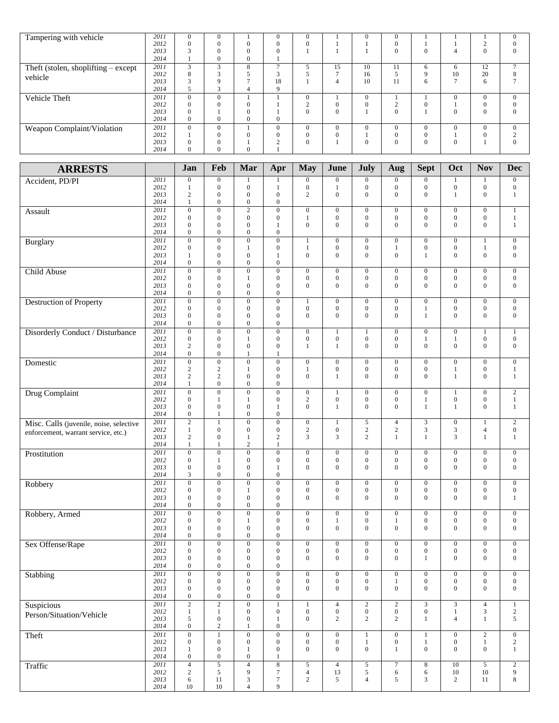| Tampering with vehicle                | 2011 | $\Omega$     | $\Omega$ |                          |              | $\mathbf{0}$   |                 |          | $\Omega$ |             |          |              | $\Omega$       |
|---------------------------------------|------|--------------|----------|--------------------------|--------------|----------------|-----------------|----------|----------|-------------|----------|--------------|----------------|
|                                       | 2012 | $\Omega$     | $\theta$ |                          | 0            | $\mathbf{0}$   |                 |          |          |             |          | $\sim$       | $\Omega$       |
|                                       | 2013 |              | $\theta$ |                          | $\Omega$     |                |                 |          | 0        | $\Omega$    | 4        | $\Omega$     | $\Omega$       |
|                                       | 2014 |              | $\Omega$ |                          |              |                |                 |          |          |             |          |              |                |
| Theft (stolen, shoplifting $-$ except | 2011 | $\mathbf{R}$ | $\sim$   | 8                        |              |                | 15              | 10       | 11       | 6           | 6        | 12           | $\overline{ }$ |
| vehicle                               | 2012 | Õ.           |          |                          |              |                | $\mathbf{\tau}$ | 16       |          | $\mathbf Q$ | 10       | 20           | 8              |
|                                       | 2013 |              | Q        | $\overline{\phantom{0}}$ | 18           |                | 4               | 10       | 11       | 6           |          | 6            |                |
|                                       | 2014 |              | r.       | 4                        | q            |                |                 |          |          |             |          |              |                |
| Vehicle Theft                         | 2011 | $\Omega$     | $\Omega$ |                          |              | $\overline{0}$ |                 | $\theta$ |          |             | $\Omega$ | $\Omega$     | $\Omega$       |
|                                       | 2012 | $\Omega$     | $\Omega$ |                          |              | $\sim$         | $\Omega$        |          |          | $\Omega$    |          | $\mathbf{0}$ | $\Omega$       |
|                                       | 2013 | $\Omega$     |          |                          |              | $\Omega$       | $\Omega$        |          | $\Omega$ |             | $\Omega$ | $\Omega$     | $\Omega$       |
|                                       | 2014 | $\mathbf{0}$ | $\Omega$ |                          | $\mathbf{0}$ |                |                 |          |          |             |          |              |                |
| Weapon Complaint/Violation            | 2011 | $\Omega$     | $\Omega$ |                          | $\Omega$     | $\Omega$       | $\theta$        |          | $\Omega$ | $\Omega$    | $\Omega$ | $\Omega$     | $\Omega$       |
|                                       | 2012 |              | $\Omega$ |                          | $\Omega$     | $\mathbf{0}$   | $\Omega$        |          |          | $\Omega$    |          | $\Omega$     |                |
|                                       | 2013 | $\Omega$     | $\Omega$ |                          | $\sim$       | $\overline{0}$ |                 |          | $\Omega$ | $\Omega$    | $\theta$ |              | $\Omega$       |
|                                       | 2014 | 0            | $\Omega$ |                          |              |                |                 |          |          |             |          |              |                |

| <b>ARRESTS</b>                          |              | Jan                                  | Feb                                  | Mar                                  | Apr                                  | <b>May</b>                           | June                                 | July                               | Aug                              | <b>Sept</b>                        | Oct                                  | <b>Nov</b>                       | <b>Dec</b>                         |
|-----------------------------------------|--------------|--------------------------------------|--------------------------------------|--------------------------------------|--------------------------------------|--------------------------------------|--------------------------------------|------------------------------------|----------------------------------|------------------------------------|--------------------------------------|----------------------------------|------------------------------------|
| Accident, PD/PI                         | 2011         | $\boldsymbol{0}$                     | $\boldsymbol{0}$                     | 1                                    | 1                                    | $\boldsymbol{0}$                     | $\boldsymbol{0}$                     | $\boldsymbol{0}$                   | $\mathbf{0}$                     | $\boldsymbol{0}$                   |                                      | 1                                | $\boldsymbol{0}$                   |
|                                         | 2012         | $\mathbf{1}$                         | $\boldsymbol{0}$                     | $\boldsymbol{0}$                     | 1                                    | $\boldsymbol{0}$                     | $\mathbf{1}$                         | $\boldsymbol{0}$                   | $\mathbf{0}$                     | $\mathbf{0}$                       | $\boldsymbol{0}$                     | $\boldsymbol{0}$                 | $\boldsymbol{0}$                   |
|                                         | 2013         | $\mathbf{2}$                         | $\boldsymbol{0}$                     | $\boldsymbol{0}$                     | $\mathbf{0}$                         | $\overline{c}$                       | $\overline{0}$                       | $\mathbf{0}$                       | $\mathbf{0}$                     | $\overline{0}$                     | 1                                    | $\boldsymbol{0}$                 | $\mathbf{1}$                       |
|                                         | 2014         | $\mathbf{1}$                         | $\boldsymbol{0}$                     | $\boldsymbol{0}$                     | $\mathbf{0}$                         |                                      |                                      |                                    |                                  |                                    |                                      |                                  |                                    |
| Assault                                 | 2011         | $\boldsymbol{0}$                     | $\boldsymbol{0}$                     | $\sqrt{2}$                           | $\boldsymbol{0}$                     | $\boldsymbol{0}$                     | $\boldsymbol{0}$                     | $\boldsymbol{0}$                   | $\mathbf{0}$                     | $\boldsymbol{0}$                   | $\boldsymbol{0}$                     | $\boldsymbol{0}$                 | $\,1$                              |
|                                         | 2012         | $\boldsymbol{0}$                     | $\boldsymbol{0}$                     | $\boldsymbol{0}$                     | $\mathbf{0}$                         | $\mathbf{1}$                         | $\boldsymbol{0}$                     | $\mathbf{0}$                       | $\boldsymbol{0}$                 | $\boldsymbol{0}$                   | $\boldsymbol{0}$                     | $\boldsymbol{0}$                 | $\mathbf{1}$                       |
|                                         | 2013         | $\boldsymbol{0}$                     | $\mathbf{0}$                         | $\boldsymbol{0}$                     | 1                                    | $\mathbf{0}$                         | $\boldsymbol{0}$                     | $\mathbf{0}$                       | $\mathbf{0}$                     | $\boldsymbol{0}$                   | $\mathbf{0}$                         | $\mathbf{0}$                     | $\mathbf{1}$                       |
|                                         | 2014         | $\boldsymbol{0}$                     | $\mathbf{0}$                         | $\mathbf{0}$                         | $\boldsymbol{0}$                     |                                      |                                      |                                    |                                  |                                    |                                      |                                  |                                    |
| Burglary                                | 2011<br>2012 | $\overline{0}$<br>$\boldsymbol{0}$   | $\overline{0}$<br>$\boldsymbol{0}$   | $\overline{0}$<br>$\mathbf{1}$       | $\overline{0}$<br>$\boldsymbol{0}$   | $\mathbf{1}$<br>$\mathbf{1}$         | $\overline{0}$<br>$\boldsymbol{0}$   | $\overline{0}$<br>$\boldsymbol{0}$ | $\mathbf{0}$<br>$\mathbf{1}$     | $\overline{0}$<br>$\boldsymbol{0}$ | $\mathbf{0}$<br>$\boldsymbol{0}$     | $\mathbf{1}$<br>$\mathbf{1}$     | $\mathbf{0}$<br>$\boldsymbol{0}$   |
|                                         | 2013         | $\mathbf{1}$                         | $\boldsymbol{0}$                     | $\boldsymbol{0}$                     | $\mathbf{1}$                         | $\boldsymbol{0}$                     | $\mathbf{0}$                         | $\mathbf{0}$                       | $\mathbf{0}$                     | $\mathbf{1}$                       | $\overline{0}$                       | $\boldsymbol{0}$                 | $\overline{0}$                     |
|                                         | 2014         | $\boldsymbol{0}$                     | $\boldsymbol{0}$                     | $\boldsymbol{0}$                     | $\mathbf{0}$                         |                                      |                                      |                                    |                                  |                                    |                                      |                                  |                                    |
| Child Abuse                             | 2011         | $\overline{0}$                       | $\overline{0}$                       | $\overline{0}$                       | $\overline{0}$                       | $\overline{0}$                       | $\overline{0}$                       | $\overline{0}$                     | $\overline{0}$                   | $\overline{0}$                     | $\mathbf{0}$                         | $\overline{0}$                   | $\boldsymbol{0}$                   |
|                                         | 2012         | $\boldsymbol{0}$                     | $\boldsymbol{0}$                     | $\mathbf{1}$                         | $\mathbf{0}$                         | $\boldsymbol{0}$                     | $\boldsymbol{0}$                     | $\mathbf{0}$                       | $\boldsymbol{0}$                 | $\mathbf{0}$                       | $\boldsymbol{0}$                     | $\boldsymbol{0}$                 | $\boldsymbol{0}$                   |
|                                         | 2013         | $\boldsymbol{0}$                     | $\boldsymbol{0}$                     | $\boldsymbol{0}$                     | $\boldsymbol{0}$                     | $\boldsymbol{0}$                     | $\overline{0}$                       | $\mathbf{0}$                       | $\mathbf{0}$                     | $\overline{0}$                     | $\overline{0}$                       | $\boldsymbol{0}$                 | $\overline{0}$                     |
|                                         | 2014         | $\boldsymbol{0}$                     | $\boldsymbol{0}$                     | $\mathbf{0}$                         | $\mathbf{0}$                         |                                      |                                      |                                    |                                  |                                    |                                      |                                  |                                    |
| <b>Destruction of Property</b>          | 2011         | $\overline{0}$                       | $\overline{0}$                       | $\overline{0}$                       | $\overline{0}$                       | $\mathbf{1}$                         | $\overline{0}$                       | $\boldsymbol{0}$                   | $\overline{0}$                   | $\overline{0}$                     | $\boldsymbol{0}$                     | $\overline{0}$                   | $\overline{0}$                     |
|                                         | 2012         | $\boldsymbol{0}$                     | $\mathbf{0}$                         | $\boldsymbol{0}$                     | $\mathbf{0}$                         | $\boldsymbol{0}$                     | $\boldsymbol{0}$                     | $\mathbf{0}$                       | $\boldsymbol{0}$                 | $\mathbf{1}$                       | $\boldsymbol{0}$                     | $\boldsymbol{0}$                 | $\boldsymbol{0}$                   |
|                                         | 2013         | $\boldsymbol{0}$                     | $\boldsymbol{0}$                     | $\boldsymbol{0}$                     | $\mathbf{0}$                         | $\boldsymbol{0}$                     | $\boldsymbol{0}$                     | $\mathbf{0}$                       | $\mathbf{0}$                     | $\mathbf{1}$                       | $\overline{0}$                       | $\boldsymbol{0}$                 | $\boldsymbol{0}$                   |
|                                         | 2014         | $\boldsymbol{0}$                     | $\boldsymbol{0}$                     | $\boldsymbol{0}$                     | $\mathbf{0}$                         |                                      |                                      |                                    |                                  |                                    |                                      |                                  |                                    |
| Disorderly Conduct / Disturbance        | 2011         | $\overline{0}$                       | $\overline{0}$                       | $\overline{0}$                       | $\overline{0}$                       | $\overline{0}$                       | $\mathbf{1}$                         | $\mathbf{1}$                       | $\boldsymbol{0}$                 | $\mathbf{0}$                       | $\boldsymbol{0}$                     | $\mathbf{1}$                     | 1                                  |
|                                         | 2012         | $\boldsymbol{0}$                     | $\boldsymbol{0}$                     | $\mathbf{1}$                         | $\mathbf{0}$                         | $\boldsymbol{0}$                     | $\boldsymbol{0}$                     | $\mathbf{0}$                       | $\boldsymbol{0}$                 | $\mathbf{1}$                       | $\mathbf{1}$                         | $\boldsymbol{0}$                 | $\mathbf{0}$                       |
|                                         | 2013<br>2014 | $\mathbf{2}$<br>$\boldsymbol{0}$     | $\boldsymbol{0}$<br>$\boldsymbol{0}$ | $\boldsymbol{0}$<br>1                | $\mathbf{0}$<br>1                    | $\mathbf{1}$                         | $\mathbf{1}$                         | $\mathbf{0}$                       | $\mathbf{0}$                     | $\mathbf{0}$                       | $\mathbf{0}$                         | $\boldsymbol{0}$                 | $\boldsymbol{0}$                   |
|                                         | 2011         | $\overline{0}$                       | $\overline{0}$                       | $\overline{0}$                       | $\mathbf{0}$                         | $\overline{0}$                       | $\boldsymbol{0}$                     | $\boldsymbol{0}$                   | $\boldsymbol{0}$                 | $\mathbf{0}$                       | $\boldsymbol{0}$                     | $\overline{0}$                   | $\boldsymbol{0}$                   |
| Domestic                                | 2012         | $\sqrt{2}$                           | $\sqrt{2}$                           | $\mathbf{1}$                         | $\boldsymbol{0}$                     | $\mathbf{1}$                         | $\boldsymbol{0}$                     | $\boldsymbol{0}$                   | $\boldsymbol{0}$                 | $\boldsymbol{0}$                   | $\mathbf{1}$                         | $\boldsymbol{0}$                 | $\mathbf{1}$                       |
|                                         | 2013         | $\overline{c}$                       | $\sqrt{2}$                           | $\boldsymbol{0}$                     | $\mathbf{0}$                         | $\boldsymbol{0}$                     | $\mathbf{1}$                         | $\mathbf{0}$                       | $\overline{0}$                   | $\overline{0}$                     | 1                                    | $\boldsymbol{0}$                 | $\mathbf{1}$                       |
|                                         | 2014         | $\mathbf{1}$                         | $\boldsymbol{0}$                     | $\boldsymbol{0}$                     | $\boldsymbol{0}$                     |                                      |                                      |                                    |                                  |                                    |                                      |                                  |                                    |
| Drug Complaint                          | 2011         | $\overline{0}$                       | $\boldsymbol{0}$                     | $\overline{0}$                       | $\boldsymbol{0}$                     | $\boldsymbol{0}$                     | $\mathbf{1}$                         | $\boldsymbol{0}$                   | $\boldsymbol{0}$                 | $\mathbf{0}$                       | 1                                    | $\boldsymbol{0}$                 | $\sqrt{2}$                         |
|                                         | 2012         | $\boldsymbol{0}$                     | $\mathbf{1}$                         | $\mathbf{1}$                         | $\boldsymbol{0}$                     | $\mathbf{2}$                         | $\boldsymbol{0}$                     | $\boldsymbol{0}$                   | $\boldsymbol{0}$                 | $\mathbf{1}$                       | $\boldsymbol{0}$                     | $\boldsymbol{0}$                 | $\mathbf{1}$                       |
|                                         | 2013         | $\boldsymbol{0}$                     | $\boldsymbol{0}$                     | $\boldsymbol{0}$                     | 1                                    | $\overline{0}$                       | $\mathbf{1}$                         | $\mathbf{0}$                       | $\mathbf{0}$                     | $\mathbf{1}$                       | 1                                    | $\boldsymbol{0}$                 | $\mathbf{1}$                       |
|                                         | 2014         | $\boldsymbol{0}$                     | $\mathbf{1}$                         | $\mathbf{0}$                         | $\boldsymbol{0}$                     |                                      |                                      |                                    |                                  |                                    |                                      |                                  |                                    |
| Misc. Calls (juvenile, noise, selective | 2011         | $\overline{2}$                       | $\mathbf{1}$                         | $\overline{0}$                       | $\mathbf{0}$                         | $\boldsymbol{0}$                     | 1                                    | 5                                  | $\overline{4}$                   | $\mathfrak{Z}$                     | $\boldsymbol{0}$                     | $\mathbf{1}$                     | $\overline{2}$                     |
| enforcement, warrant service, etc.)     | 2012         | $\mathbf{1}$                         | $\boldsymbol{0}$                     | $\boldsymbol{0}$                     | $\boldsymbol{0}$                     | $\mathbf{2}$                         | $\mathbf{0}$                         | $\sqrt{2}$                         | $\sqrt{2}$                       | $\mathfrak z$                      | $\mathfrak{Z}$                       | $\overline{4}$                   | $\boldsymbol{0}$                   |
|                                         | 2013         | 2                                    | $\boldsymbol{0}$                     | 1                                    | $\overline{c}$                       | 3                                    | 3                                    | $\overline{2}$                     | $\mathbf{1}$                     | $\mathbf{1}$                       | 3                                    | 1                                | $\mathbf{1}$                       |
|                                         | 2014         | $\mathbf{1}$                         | $\mathbf{1}$                         | 2                                    | 1                                    |                                      |                                      |                                    |                                  |                                    |                                      |                                  |                                    |
| Prostitution                            | 2011         | $\overline{0}$                       | $\boldsymbol{0}$                     | $\overline{0}$                       | $\boldsymbol{0}$                     | $\boldsymbol{0}$                     | $\boldsymbol{0}$                     | $\boldsymbol{0}$                   | $\boldsymbol{0}$                 | $\mathbf{0}$                       | $\boldsymbol{0}$                     | $\mathbf{0}$                     | $\boldsymbol{0}$                   |
|                                         | 2012<br>2013 | $\boldsymbol{0}$                     | $\mathbf{1}$<br>$\mathbf{0}$         | $\boldsymbol{0}$<br>$\boldsymbol{0}$ | $\mathbf{0}$<br>1                    | $\boldsymbol{0}$<br>$\mathbf{0}$     | $\mathbf{0}$<br>$\overline{0}$       | $\boldsymbol{0}$<br>$\mathbf{0}$   | $\boldsymbol{0}$<br>$\mathbf{0}$ | $\boldsymbol{0}$<br>$\overline{0}$ | $\boldsymbol{0}$<br>$\overline{0}$   | $\boldsymbol{0}$<br>$\mathbf{0}$ | $\mathbf{0}$<br>$\boldsymbol{0}$   |
|                                         | 2014         | $\boldsymbol{0}$<br>3                | $\boldsymbol{0}$                     | $\boldsymbol{0}$                     | $\boldsymbol{0}$                     |                                      |                                      |                                    |                                  |                                    |                                      |                                  |                                    |
|                                         | 2011         | $\overline{0}$                       | $\overline{0}$                       | $\overline{0}$                       | $\boldsymbol{0}$                     | $\boldsymbol{0}$                     | $\boldsymbol{0}$                     | $\boldsymbol{0}$                   | $\boldsymbol{0}$                 | $\boldsymbol{0}$                   | $\boldsymbol{0}$                     | $\boldsymbol{0}$                 | $\boldsymbol{0}$                   |
| Robbery                                 | 2012         | $\boldsymbol{0}$                     | $\boldsymbol{0}$                     | 1                                    | $\mathbf{0}$                         | $\boldsymbol{0}$                     | $\boldsymbol{0}$                     | $\mathbf{0}$                       | $\boldsymbol{0}$                 | $\boldsymbol{0}$                   | $\boldsymbol{0}$                     | $\boldsymbol{0}$                 | $\boldsymbol{0}$                   |
|                                         | 2013         | $\boldsymbol{0}$                     | $\boldsymbol{0}$                     | $\boldsymbol{0}$                     | $\boldsymbol{0}$                     | $\boldsymbol{0}$                     | $\overline{0}$                       | $\mathbf{0}$                       | $\overline{0}$                   | $\boldsymbol{0}$                   | $\boldsymbol{0}$                     | $\mathbf{0}$                     | $\mathbf{1}$                       |
|                                         | 2014         | $\boldsymbol{0}$                     | $\boldsymbol{0}$                     | $\boldsymbol{0}$                     | $\boldsymbol{0}$                     |                                      |                                      |                                    |                                  |                                    |                                      |                                  |                                    |
| Robbery, Armed                          | 2011         | $\overline{0}$                       | $\overline{0}$                       | $\overline{0}$                       | $\overline{0}$                       | $\boldsymbol{0}$                     | $\overline{0}$                       | $\boldsymbol{0}$                   | $\boldsymbol{0}$                 | $\boldsymbol{0}$                   | $\boldsymbol{0}$                     | $\boldsymbol{0}$                 | $\boldsymbol{0}$                   |
|                                         | 2012         | $\boldsymbol{0}$                     | $\boldsymbol{0}$                     | $\mathbf{1}$                         | $\mathbf{0}$                         | $\boldsymbol{0}$                     | $\mathbf{1}$                         | $\mathbf{0}$                       | $\mathbf{1}$                     | $\boldsymbol{0}$                   | $\boldsymbol{0}$                     | $\boldsymbol{0}$                 | $\mathbf{0}$                       |
|                                         | 2013         | $\boldsymbol{0}$                     | $\boldsymbol{0}$                     | $\boldsymbol{0}$                     | $\boldsymbol{0}$                     | $\overline{0}$                       | $\overline{0}$                       | $\mathbf{0}$                       | $\mathbf{0}$                     | $\overline{0}$                     | $\mathbf{0}$                         | $\mathbf{0}$                     | $\overline{0}$                     |
|                                         | 2014         | $\boldsymbol{0}$                     | $\boldsymbol{0}$                     | $\boldsymbol{0}$                     | $\boldsymbol{0}$                     |                                      |                                      |                                    |                                  |                                    |                                      |                                  |                                    |
| Sex Offense/Rape                        | 2011         | $\boldsymbol{0}$                     | $\boldsymbol{0}$                     | $\overline{0}$                       | $\boldsymbol{0}$                     | $\boldsymbol{0}$                     | $\boldsymbol{0}$                     | $\boldsymbol{0}$                   | $\boldsymbol{0}$                 | $\boldsymbol{0}$                   | $\boldsymbol{0}$                     | $\boldsymbol{0}$                 | $\boldsymbol{0}$                   |
|                                         | 2012         | $\boldsymbol{0}$                     | $\boldsymbol{0}$                     | $\mathbf{0}$                         | $\mathbf{0}$                         | $\boldsymbol{0}$                     | $\boldsymbol{0}$                     | $\mathbf{0}$                       | $\boldsymbol{0}$                 | $\boldsymbol{0}$                   | $\boldsymbol{0}$                     | $\boldsymbol{0}$                 | $\boldsymbol{0}$                   |
|                                         | 2013         | $\boldsymbol{0}$<br>$\mathbf{0}$     | $\boldsymbol{0}$<br>$\mathbf{0}$     | $\boldsymbol{0}$<br>$\Omega$         | $\mathbf{0}$<br>$\mathbf{0}$         | $\mathbf{0}$                         | $\overline{0}$                       | $\mathbf{0}$                       | $\overline{0}$                   | $\mathbf{1}$                       | $\mathbf{0}$                         | $\mathbf{0}$                     | $\mathbf{0}$                       |
|                                         | 2014         |                                      |                                      |                                      |                                      |                                      |                                      |                                    |                                  |                                    |                                      |                                  |                                    |
| Stabbing                                | 2011<br>2012 | $\boldsymbol{0}$<br>$\boldsymbol{0}$ | $\mathbf{0}$<br>$\boldsymbol{0}$     | $\boldsymbol{0}$<br>$\boldsymbol{0}$ | $\boldsymbol{0}$<br>$\boldsymbol{0}$ | $\boldsymbol{0}$<br>$\boldsymbol{0}$ | $\boldsymbol{0}$<br>$\boldsymbol{0}$ | $\mathbf{0}$<br>$\boldsymbol{0}$   | $\mathbf{0}$<br>$\mathbf{1}$     | $\mathbf{0}$<br>$\boldsymbol{0}$   | $\boldsymbol{0}$<br>$\boldsymbol{0}$ | $\mathbf{0}$<br>$\boldsymbol{0}$ | $\boldsymbol{0}$<br>$\overline{0}$ |
|                                         | 2013         | $\boldsymbol{0}$                     | $\boldsymbol{0}$                     | $\boldsymbol{0}$                     | $\boldsymbol{0}$                     | $\boldsymbol{0}$                     | $\boldsymbol{0}$                     | $\mathbf{0}$                       | $\mathbf{0}$                     | $\overline{0}$                     | $\mathbf{0}$                         | $\mathbf{0}$                     | $\mathbf{0}$                       |
|                                         | 2014         | $\boldsymbol{0}$                     | $\boldsymbol{0}$                     | $\boldsymbol{0}$                     | $\boldsymbol{0}$                     |                                      |                                      |                                    |                                  |                                    |                                      |                                  |                                    |
| <b>Suspicious</b>                       | 2011         | $\sqrt{2}$                           | $\sqrt{2}$                           | $\boldsymbol{0}$                     | $\mathbf{1}$                         | $\mathbf{1}$                         | $\overline{4}$                       | $\overline{c}$                     | $\overline{c}$                   | 3                                  | 3                                    | $\overline{4}$                   | $\mathbf{1}$                       |
|                                         | 2012         | 1                                    | $\mathbf{1}$                         | $\mathbf{0}$                         | $\boldsymbol{0}$                     | $\boldsymbol{0}$                     | $\boldsymbol{0}$                     | $\boldsymbol{0}$                   | $\boldsymbol{0}$                 | $\boldsymbol{0}$                   | 1                                    | 3                                | $\overline{c}$                     |
| Person/Situation/Vehicle                | 2013         | 5                                    | $\boldsymbol{0}$                     | $\mathbf{0}$                         | 1                                    | $\mathbf{0}$                         | $\mathbf{2}$                         | $\mathbf{2}$                       | $\overline{2}$                   | 1                                  | $\overline{4}$                       | -1                               | 5                                  |
|                                         | 2014         | $\boldsymbol{0}$                     | $\boldsymbol{2}$                     | $\mathbf{1}$                         | $\boldsymbol{0}$                     |                                      |                                      |                                    |                                  |                                    |                                      |                                  |                                    |
| Theft                                   | 2011         | $\overline{0}$                       | $\mathbf{1}$                         | $\mathbf{0}$                         | $\boldsymbol{0}$                     | $\boldsymbol{0}$                     | $\boldsymbol{0}$                     | $\mathbf{1}$                       | $\mathbf{0}$                     | $\mathbf{1}$                       | $\boldsymbol{0}$                     | $\overline{2}$                   | $\boldsymbol{0}$                   |
|                                         | 2012         | $\boldsymbol{0}$                     | $\boldsymbol{0}$                     | $\boldsymbol{0}$                     | $\boldsymbol{0}$                     | $\mathbf{0}$                         | $\boldsymbol{0}$                     | $\mathbf{1}$                       | $\boldsymbol{0}$                 | $\mathbf{1}$                       | $\boldsymbol{0}$                     | $\mathbf{1}$                     | $\overline{2}$                     |
|                                         | 2013         | 1                                    | $\boldsymbol{0}$                     | 1                                    | $\mathbf{0}$                         | $\boldsymbol{0}$                     | $\mathbf{0}$                         | $\boldsymbol{0}$                   | $\mathbf{1}$                     | $\boldsymbol{0}$                   | $\boldsymbol{0}$                     | $\mathbf{0}$                     | $\mathbf{1}$                       |
|                                         | 2014         | $\mathbf{0}$                         | $\overline{0}$                       | $\boldsymbol{0}$                     | $\mathbf{1}$                         |                                      |                                      |                                    |                                  |                                    |                                      |                                  |                                    |
| Traffic                                 | 2011         | $\overline{4}$                       | 5                                    | $\sqrt{4}$                           | $\,$ 8 $\,$                          | 5                                    | $\overline{4}$                       | 5                                  | $\tau$                           | 8                                  | 10                                   | $5\overline{ }$                  | $\sqrt{2}$                         |
|                                         | 2012         | $\mathbf{2}$                         | 5                                    | $\overline{9}$                       | $\tau$                               | $\overline{4}$                       | 13                                   | 5                                  | 6                                | 6                                  | 10                                   | 10                               | 9                                  |
|                                         | 2013         | 6                                    | 11                                   | 3                                    | $\tau$                               | $\sqrt{2}$                           | 5                                    | $\overline{4}$                     | 5                                | 3                                  | $\overline{c}$                       | 11                               | 8                                  |
|                                         | 2014         | 10                                   | 10                                   | $\overline{4}$                       | 9                                    |                                      |                                      |                                    |                                  |                                    |                                      |                                  |                                    |